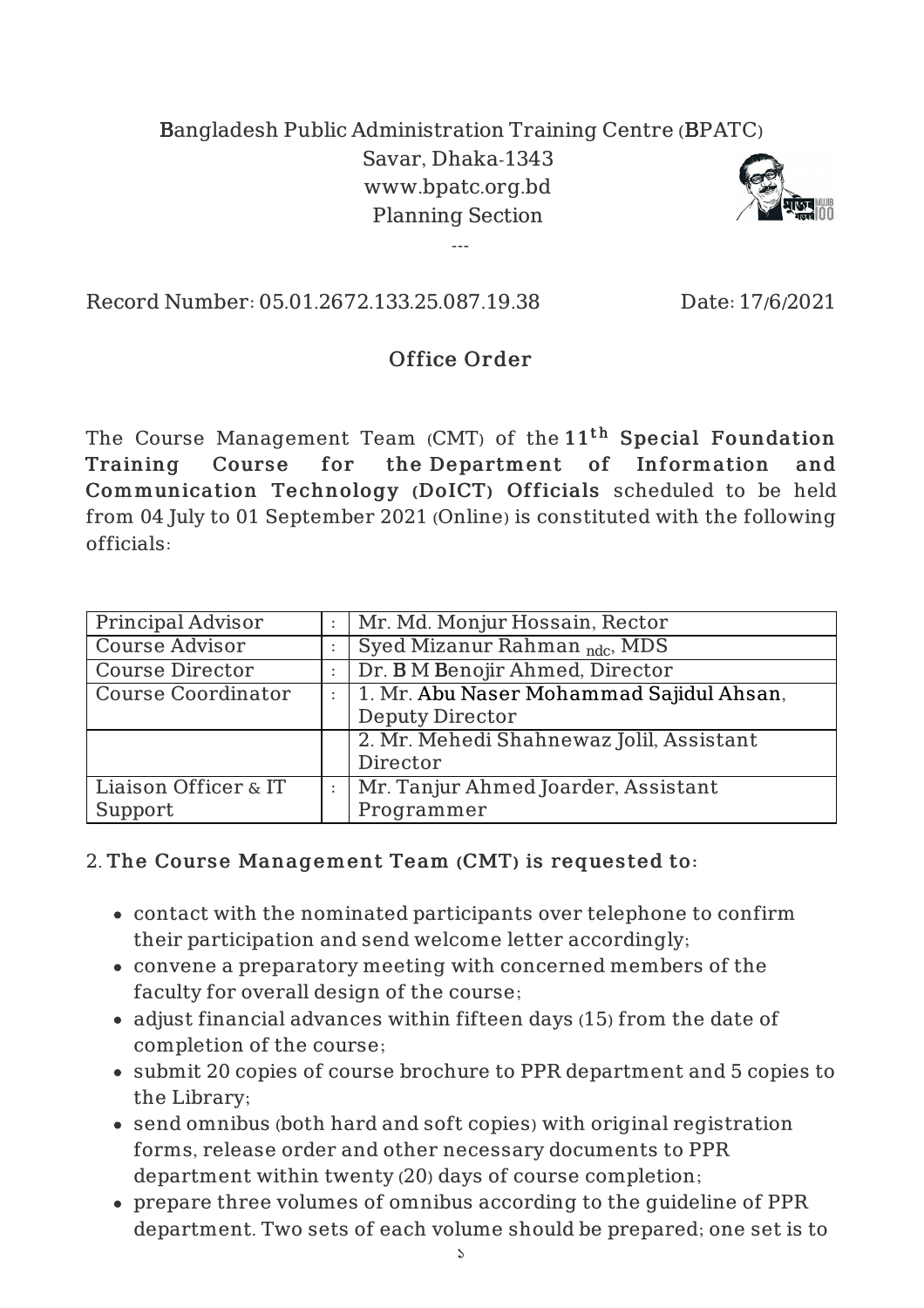## Bangladesh Public Administration Training Centre (BPATC) Savar, Dhaka-1343 www.bpatc.org.bd Planning Section

---



Record Number: 05.01.2672.133.25.087.19.38 Date: 17/6/2021

## Office Order

The Course Management Team (CMT) of the  $11^{\rm th}$  Special Foundation Training Course for the Department of Information and Communication Technology (DoICT) Officials scheduled to be held from 04 July to 01 September 2021 (Online) is constituted with the following officials:

| Principal Advisor         | Mr. Md. Monjur Hossain, Rector           |
|---------------------------|------------------------------------------|
| <b>Course Advisor</b>     | Syed Mizanur Rahman <sub>ndc</sub> , MDS |
| <b>Course Director</b>    | Dr. B M Benojir Ahmed, Director          |
| <b>Course Coordinator</b> | 1. Mr. Abu Naser Mohammad Sajidul Ahsan, |
|                           | <b>Deputy Director</b>                   |
|                           | 2. Mr. Mehedi Shahnewaz Jolil, Assistant |
|                           | Director                                 |
| Liaison Officer & IT      | Mr. Tanjur Ahmed Joarder, Assistant      |
| Support                   | Programmer                               |

## 2. The Course Management Team (CMT) is requested to:

- contact with the nominated participants over telephone to confirm their participation and send welcome letter accordingly;
- convene a preparatory meeting with concerned members of the faculty for overall design of the course;
- adjust financial advances within fifteen days (15) from the date of completion of the course;
- submit 20 copies of course brochure to PPR department and 5 copies to the Library;
- send omnibus (both hard and soft copies) with original registration forms, release order and other necessary documents to PPR department within twenty (20) days of course completion;
- prepare three volumes of omnibus according to the guideline of PPR department. Two sets of each volume should be prepared; one set is to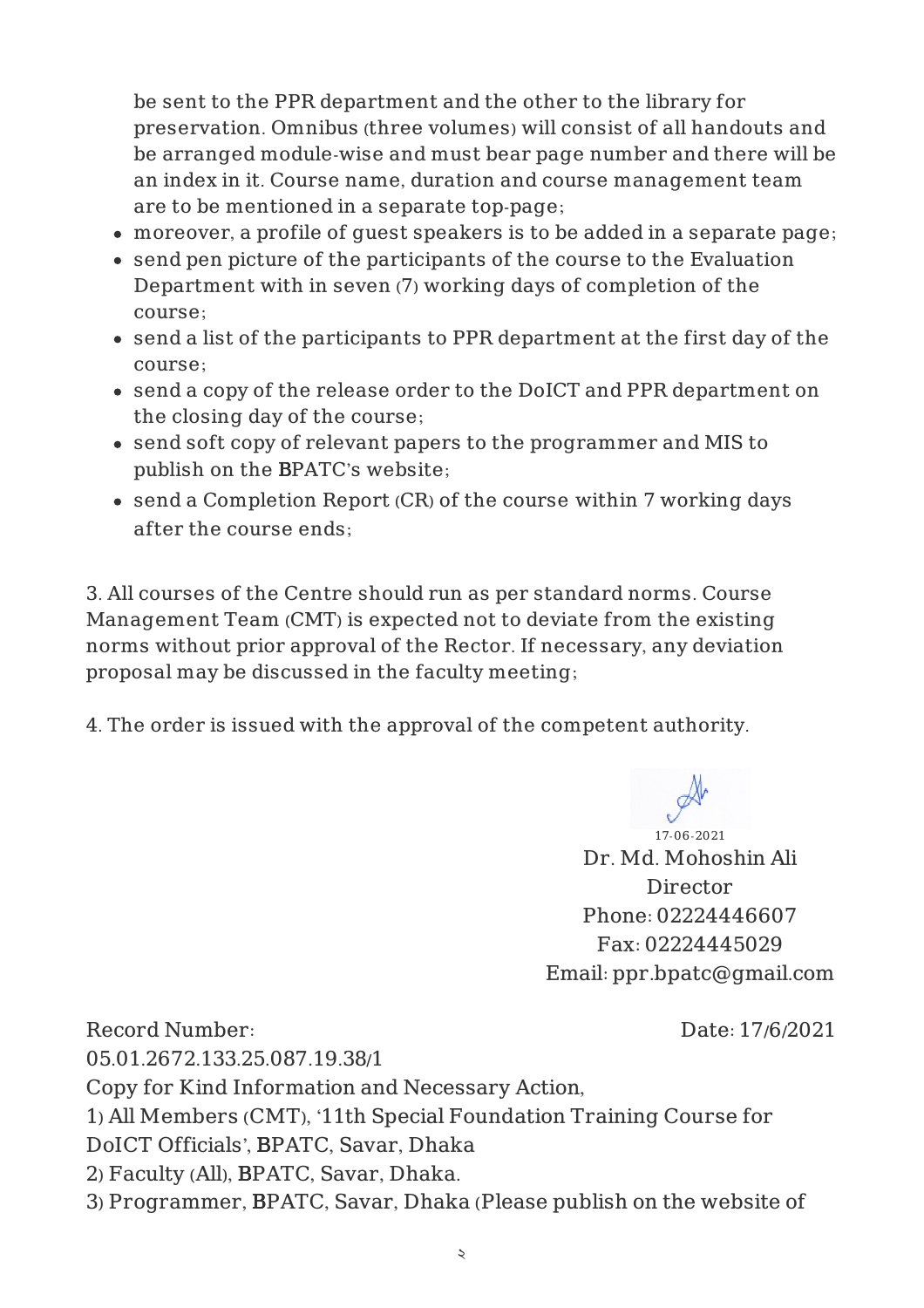be sent to the PPR department and the other to the library for preservation. Omnibus (three volumes) will consist of all handouts and be arranged module-wise and must bear page number and there will be an index in it. Course name, duration and course management team are to be mentioned in a separate top-page;

- moreover, a profile of guest speakers is to be added in a separate page;
- send pen picture of the participants of the course to the Evaluation Department with in seven (7) working days of completion of the course;
- send a list of the participants to PPR department at the first day of the course;
- send a copy of the release order to the DoICT and PPR department on the closing day of the course;
- send soft copy of relevant papers to the programmer and MIS to publish on the BPATC's website;
- send a Completion Report (CR) of the course within 7 working days after the course ends;

3. All courses of the Centre should run as per standard norms. Course Management Team (CMT) is expected not to deviate from the existing norms without prior approval of the Rector. If necessary, any deviation proposal may be discussed in the faculty meeting;

4. The order is issued with the approval of the competent authority.

17-06-2021 Dr. Md. Mohoshin Ali Director Phone: 02224446607 Fax: 02224445029 Email: ppr.bpatc@gmail.com

Record Number: 05.01.2672.133.25.087.19.38/1 Date: 17/6/2021 Copy for Kind Information and Necessary Action, 1) All Members (CMT), '11th Special Foundation Training Course for DoICT Officials', BPATC, Savar, Dhaka 2) Faculty (All), BPATC, Savar, Dhaka. 3) Programmer, BPATC, Savar, Dhaka (Please publish on the website of